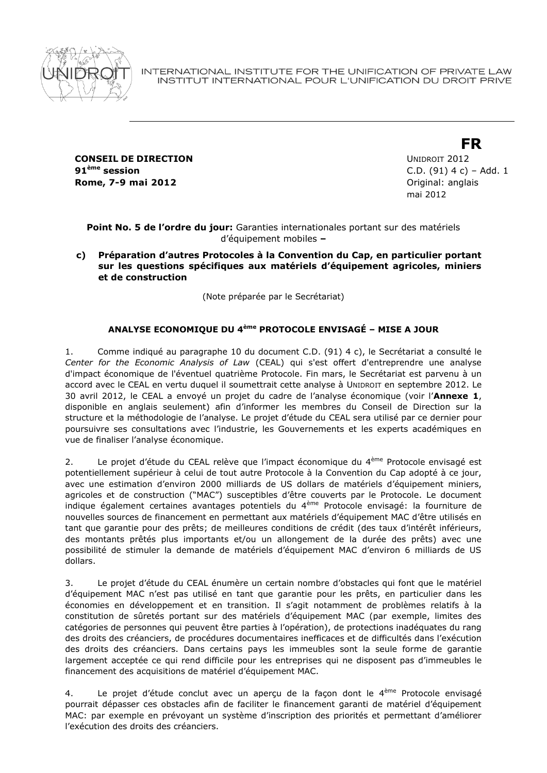

INTERNATIONAL INSTITUTE FOR THE UNIFICATION OF PRIVATE LAW INSTITUT INTERNATIONAL POUR L'UNIFICATION DU DROIT PRIVE

**CONSEIL DE DIRECTION 91 ème session Rome, 7-9 mai 2012**

UNIDROIT 2012 C.D. (91) 4 c) – Add. 1 Original: anglais mai 2012

**FR**

**Point No. 5 de l'ordre du jour:** Garanties internationales portant sur des matériels d'équipement mobiles **–**

**c) Préparation d'autres Protocoles à la Convention du Cap, en particulier portant sur les questions spécifiques aux matériels d'équipement agricoles, miniers et de construction**

(Note préparée par le Secrétariat)

### **ANALYSE ECONOMIQUE DU 4ème PROTOCOLE ENVISAGÉ – MISE A JOUR**

1. Comme indiqué au paragraphe 10 du document C.D. (91) 4 c), le Secrétariat a consulté le *Center for the Economic Analysis of Law* (CEAL) qui s'est offert d'entreprendre une analyse d'impact économique de l'éventuel quatrième Protocole. Fin mars, le Secrétariat est parvenu à un accord avec le CEAL en vertu duquel il soumettrait cette analyse à UNIDROIT en septembre 2012. Le 30 avril 2012, le CEAL a envoyé un projet du cadre de l'analyse économique (voir l'**Annexe 1**, disponible en anglais seulement) afin d'informer les membres du Conseil de Direction sur la structure et la méthodologie de l'analyse. Le projet d'étude du CEAL sera utilisé par ce dernier pour poursuivre ses consultations avec l'industrie, les Gouvernements et les experts académiques en vue de finaliser l'analyse économique.

2. Le projet d'étude du CEAL relève que l'impact économique du 4<sup>ème</sup> Protocole envisagé est potentiellement supérieur à celui de tout autre Protocole à la Convention du Cap adopté à ce jour, avec une estimation d'environ 2000 milliards de US dollars de matériels d'équipement miniers, agricoles et de construction ("MAC") susceptibles d'être couverts par le Protocole. Le document indique également certaines avantages potentiels du 4<sup>ème</sup> Protocole envisagé: la fourniture de nouvelles sources de financement en permettant aux matériels d'équipement MAC d'être utilisés en tant que garantie pour des prêts; de meilleures conditions de crédit (des taux d'intérêt inférieurs, des montants prêtés plus importants et/ou un allongement de la durée des prêts) avec une possibilité de stimuler la demande de matériels d'équipement MAC d'environ 6 milliards de US dollars.

3. Le projet d'étude du CEAL énumère un certain nombre d'obstacles qui font que le matériel d'équipement MAC n'est pas utilisé en tant que garantie pour les prêts, en particulier dans les économies en développement et en transition. Il s'agit notamment de problèmes relatifs à la constitution de sûretés portant sur des matériels d'équipement MAC (par exemple, limites des catégories de personnes qui peuvent être parties à l'opération), de protections inadéquates du rang des droits des créanciers, de procédures documentaires inefficaces et de difficultés dans l'exécution des droits des créanciers. Dans certains pays les immeubles sont la seule forme de garantie largement acceptée ce qui rend difficile pour les entreprises qui ne disposent pas d'immeubles le financement des acquisitions de matériel d'équipement MAC.

4. Le projet d'étude conclut avec un aperçu de la façon dont le 4<sup>ème</sup> Protocole envisagé pourrait dépasser ces obstacles afin de faciliter le financement garanti de matériel d'équipement MAC: par exemple en prévoyant un système d'inscription des priorités et permettant d'améliorer l'exécution des droits des créanciers.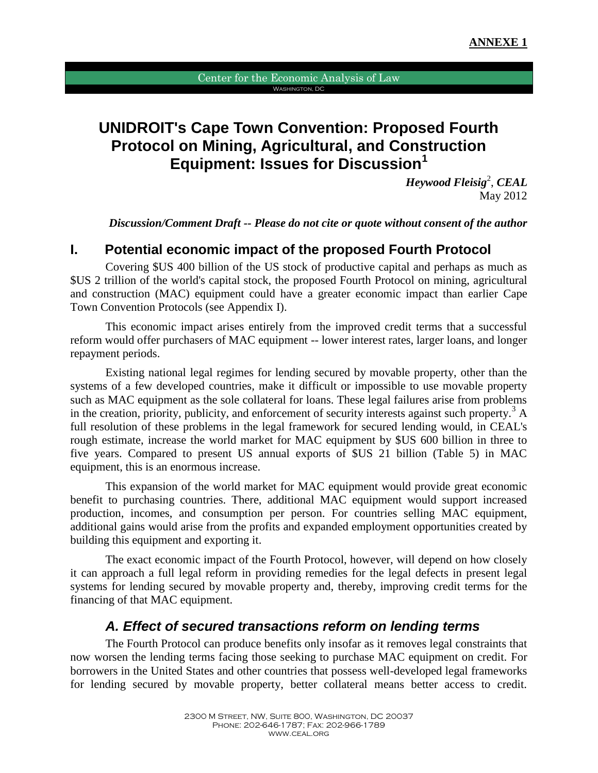# **UNIDROIT's Cape Town Convention: Proposed Fourth Protocol on Mining, Agricultural, and Construction Equipment: Issues for Discussion<sup>1</sup>**

*Heywood Fleisig*<sup>2</sup> , *CEAL* May 2012

*Discussion/Comment Draft -- Please do not cite or quote without consent of the author*

### **I. Potential economic impact of the proposed Fourth Protocol**

Covering \$US 400 billion of the US stock of productive capital and perhaps as much as \$US 2 trillion of the world's capital stock, the proposed Fourth Protocol on mining, agricultural and construction (MAC) equipment could have a greater economic impact than earlier Cape Town Convention Protocols (see Appendix I).

This economic impact arises entirely from the improved credit terms that a successful reform would offer purchasers of MAC equipment -- lower interest rates, larger loans, and longer repayment periods.

Existing national legal regimes for lending secured by movable property, other than the systems of a few developed countries, make it difficult or impossible to use movable property such as MAC equipment as the sole collateral for loans. These legal failures arise from problems in the creation, priority, publicity, and enforcement of security interests against such property.<sup>3</sup> A full resolution of these problems in the legal framework for secured lending would, in CEAL's rough estimate, increase the world market for MAC equipment by \$US 600 billion in three to five years. Compared to present US annual exports of \$US 21 billion (Table 5) in MAC equipment, this is an enormous increase.

This expansion of the world market for MAC equipment would provide great economic benefit to purchasing countries. There, additional MAC equipment would support increased production, incomes, and consumption per person. For countries selling MAC equipment, additional gains would arise from the profits and expanded employment opportunities created by building this equipment and exporting it.

The exact economic impact of the Fourth Protocol, however, will depend on how closely it can approach a full legal reform in providing remedies for the legal defects in present legal systems for lending secured by movable property and, thereby, improving credit terms for the financing of that MAC equipment.

### *A. Effect of secured transactions reform on lending terms*

The Fourth Protocol can produce benefits only insofar as it removes legal constraints that now worsen the lending terms facing those seeking to purchase MAC equipment on credit. For borrowers in the United States and other countries that possess well-developed legal frameworks for lending secured by movable property, better collateral means better access to credit.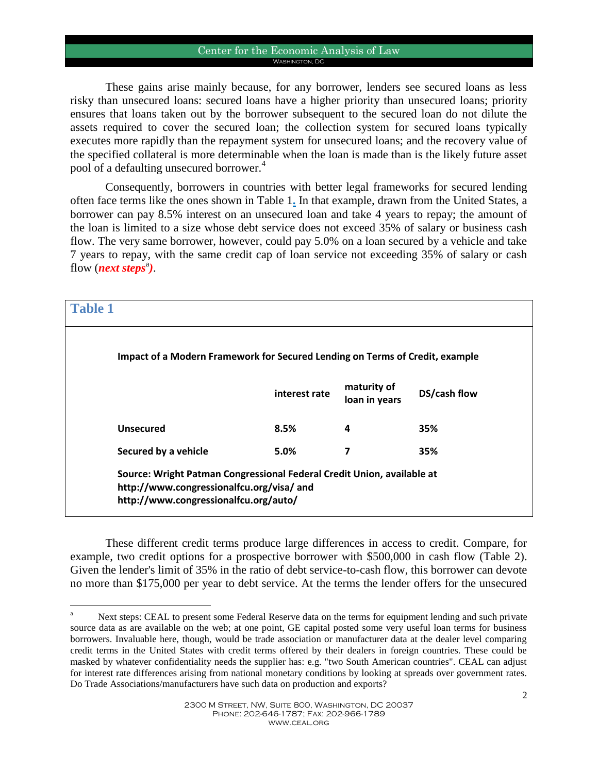These gains arise mainly because, for any borrower, lenders see secured loans as less risky than unsecured loans: secured loans have a higher priority than unsecured loans; priority ensures that loans taken out by the borrower subsequent to the secured loan do not dilute the assets required to cover the secured loan; the collection system for secured loans typically executes more rapidly than the repayment system for unsecured loans; and the recovery value of the specified collateral is more determinable when the loan is made than is the likely future asset pool of a defaulting unsecured borrower.<sup>4</sup>

Consequently, borrowers in countries with better legal frameworks for secured lending often face terms like the ones shown in Table 1**.** In that example, drawn from the United States, a borrower can pay 8.5% interest on an unsecured loan and take 4 years to repay; the amount of the loan is limited to a size whose debt service does not exceed 35% of salary or business cash flow. The very same borrower, however, could pay 5.0% on a loan secured by a vehicle and take 7 years to repay, with the same credit cap of loan service not exceeding 35% of salary or cash flow (*next steps*<sup>a</sup>).

| <b>Table 1</b> |                                                                                                                                                             |               |                              |              |  |  |  |
|----------------|-------------------------------------------------------------------------------------------------------------------------------------------------------------|---------------|------------------------------|--------------|--|--|--|
|                | Impact of a Modern Framework for Secured Lending on Terms of Credit, example                                                                                |               |                              |              |  |  |  |
|                |                                                                                                                                                             | interest rate | maturity of<br>loan in years | DS/cash flow |  |  |  |
|                | <b>Unsecured</b>                                                                                                                                            | 8.5%          | 4                            | 35%          |  |  |  |
|                | Secured by a vehicle                                                                                                                                        | 5.0%          | 7                            | 35%          |  |  |  |
|                | Source: Wright Patman Congressional Federal Credit Union, available at<br>http://www.congressionalfcu.org/visa/and<br>http://www.congressionalfcu.org/auto/ |               |                              |              |  |  |  |

These different credit terms produce large differences in access to credit. Compare, for example, two credit options for a prospective borrower with \$500,000 in cash flow (Table 2). Given the lender's limit of 35% in the ratio of debt service-to-cash flow, this borrower can devote no more than \$175,000 per year to debt service. At the terms the lender offers for the unsecured

 $\overline{a}$ 

Next steps: CEAL to present some Federal Reserve data on the terms for equipment lending and such private source data as are available on the web; at one point, GE capital posted some very useful loan terms for business borrowers. Invaluable here, though, would be trade association or manufacturer data at the dealer level comparing credit terms in the United States with credit terms offered by their dealers in foreign countries. These could be masked by whatever confidentiality needs the supplier has: e.g. "two South American countries". CEAL can adjust for interest rate differences arising from national monetary conditions by looking at spreads over government rates. Do Trade Associations/manufacturers have such data on production and exports?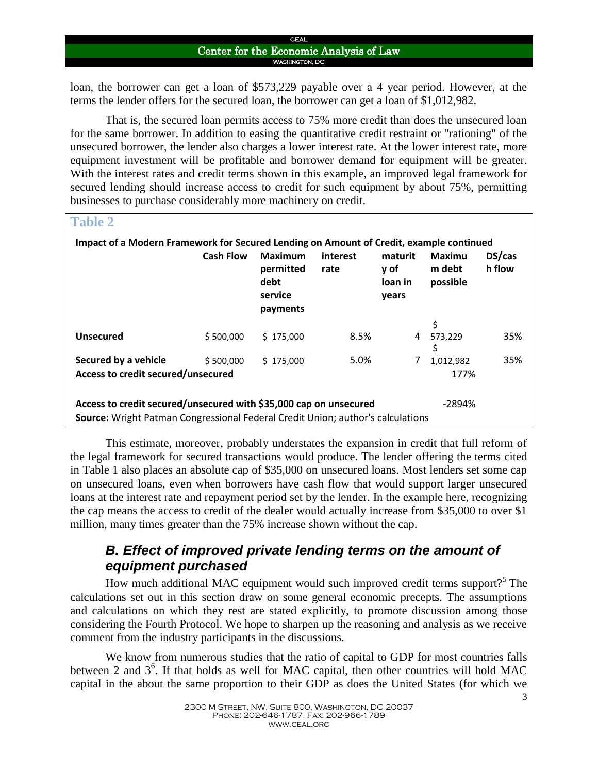loan, the borrower can get a loan of \$573,229 payable over a 4 year period. However, at the terms the lender offers for the secured loan, the borrower can get a loan of \$1,012,982.

That is, the secured loan permits access to 75% more credit than does the unsecured loan for the same borrower. In addition to easing the quantitative credit restraint or "rationing" of the unsecured borrower, the lender also charges a lower interest rate. At the lower interest rate, more equipment investment will be profitable and borrower demand for equipment will be greater. With the interest rates and credit terms shown in this example, an improved legal framework for secured lending should increase access to credit for such equipment by about 75%, permitting businesses to purchase considerably more machinery on credit.

| <b>Table 2</b>                                                                          |                  |                                                            |                  |                                     |                              |                  |  |  |
|-----------------------------------------------------------------------------------------|------------------|------------------------------------------------------------|------------------|-------------------------------------|------------------------------|------------------|--|--|
| Impact of a Modern Framework for Secured Lending on Amount of Credit, example continued |                  |                                                            |                  |                                     |                              |                  |  |  |
|                                                                                         | <b>Cash Flow</b> | <b>Maximum</b><br>permitted<br>debt<br>service<br>payments | interest<br>rate | maturit<br>y of<br>loan in<br>years | Maximu<br>m debt<br>possible | DS/cas<br>h flow |  |  |
|                                                                                         |                  |                                                            |                  |                                     | \$                           |                  |  |  |
| <b>Unsecured</b>                                                                        | \$500,000        | \$175.000                                                  | 8.5%             | 4                                   | 573,229<br>\$                | 35%              |  |  |
| Secured by a vehicle                                                                    | \$500,000        | \$175,000                                                  | 5.0%             | 7                                   | 1,012,982                    | 35%              |  |  |
| Access to credit secured/unsecured                                                      |                  |                                                            |                  |                                     | 177%                         |                  |  |  |
| Access to credit secured/unsecured with \$35,000 cap on unsecured<br>$-2894%$           |                  |                                                            |                  |                                     |                              |                  |  |  |
| Source: Wright Patman Congressional Federal Credit Union; author's calculations         |                  |                                                            |                  |                                     |                              |                  |  |  |

This estimate, moreover, probably understates the expansion in credit that full reform of the legal framework for secured transactions would produce. The lender offering the terms cited in Table 1 also places an absolute cap of \$35,000 on unsecured loans. Most lenders set some cap on unsecured loans, even when borrowers have cash flow that would support larger unsecured loans at the interest rate and repayment period set by the lender. In the example here, recognizing the cap means the access to credit of the dealer would actually increase from \$35,000 to over \$1 million, many times greater than the 75% increase shown without the cap.

## *B. Effect of improved private lending terms on the amount of equipment purchased*

How much additional MAC equipment would such improved credit terms support?<sup>5</sup> The calculations set out in this section draw on some general economic precepts. The assumptions and calculations on which they rest are stated explicitly, to promote discussion among those considering the Fourth Protocol. We hope to sharpen up the reasoning and analysis as we receive comment from the industry participants in the discussions.

We know from numerous studies that the ratio of capital to GDP for most countries falls between 2 and  $3^6$ . If that holds as well for MAC capital, then other countries will hold MAC capital in the about the same proportion to their GDP as does the United States (for which we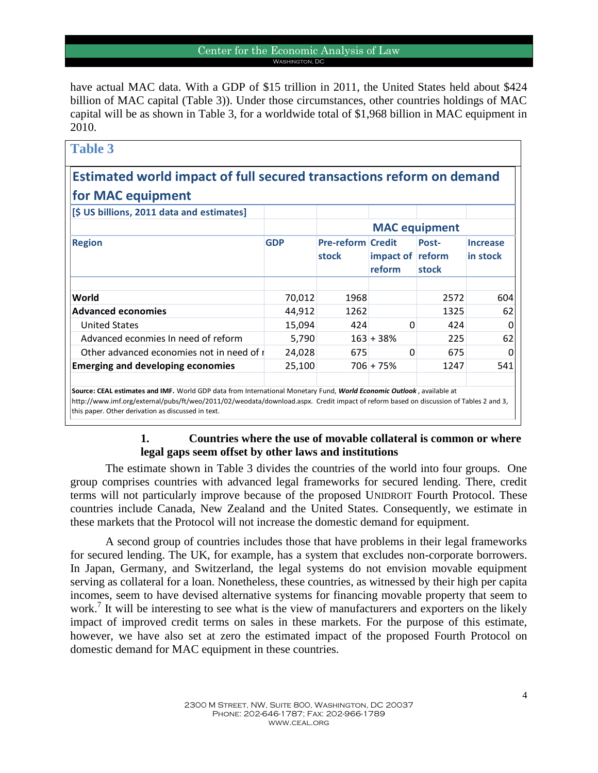have actual MAC data. With a GDP of \$15 trillion in 2011, the United States held about \$424 billion of MAC capital (Table 3)). Under those circumstances, other countries holdings of MAC capital will be as shown in Table 3, for a worldwide total of \$1,968 billion in MAC equipment in 2010.

| Estimated world impact of full secured transactions reform on demand |            |                                   |                            |                |                             |
|----------------------------------------------------------------------|------------|-----------------------------------|----------------------------|----------------|-----------------------------|
| for MAC equipment                                                    |            |                                   |                            |                |                             |
| [\$ US billions, 2011 data and estimates]                            |            |                                   |                            |                |                             |
|                                                                      |            | <b>MAC</b> equipment              |                            |                |                             |
| <b>Region</b>                                                        | <b>GDP</b> | <b>Pre-reform Credit</b><br>stock | impact of reform<br>reform | Post-<br>stock | <b>Increase</b><br>in stock |
|                                                                      |            |                                   |                            |                |                             |
| World                                                                | 70,012     | 1968                              |                            | 2572           | 604                         |
| <b>Advanced economies</b>                                            | 44,912     | 1262                              |                            | 1325           | 62                          |
| <b>United States</b>                                                 | 15,094     | 424                               | $\Omega$                   | 424            | 0                           |
| Advanced econmies In need of reform                                  | 5,790      |                                   | $163 + 38%$                | 225            | 62                          |
| Other advanced economies not in need of i                            | 24,028     | 675                               | 0                          | 675            |                             |
| Emerging and developing economies                                    | 25,100     |                                   | $706 + 75%$                | 1247           | 541                         |

### **1. Countries where the use of movable collateral is common or where legal gaps seem offset by other laws and institutions**

The estimate shown in Table 3 divides the countries of the world into four groups. One group comprises countries with advanced legal frameworks for secured lending. There, credit terms will not particularly improve because of the proposed UNIDROIT Fourth Protocol. These countries include Canada, New Zealand and the United States. Consequently, we estimate in these markets that the Protocol will not increase the domestic demand for equipment.

A second group of countries includes those that have problems in their legal frameworks for secured lending. The UK, for example, has a system that excludes non-corporate borrowers. In Japan, Germany, and Switzerland, the legal systems do not envision movable equipment serving as collateral for a loan. Nonetheless, these countries, as witnessed by their high per capita incomes, seem to have devised alternative systems for financing movable property that seem to work.<sup>7</sup> It will be interesting to see what is the view of manufacturers and exporters on the likely impact of improved credit terms on sales in these markets. For the purpose of this estimate, however, we have also set at zero the estimated impact of the proposed Fourth Protocol on domestic demand for MAC equipment in these countries.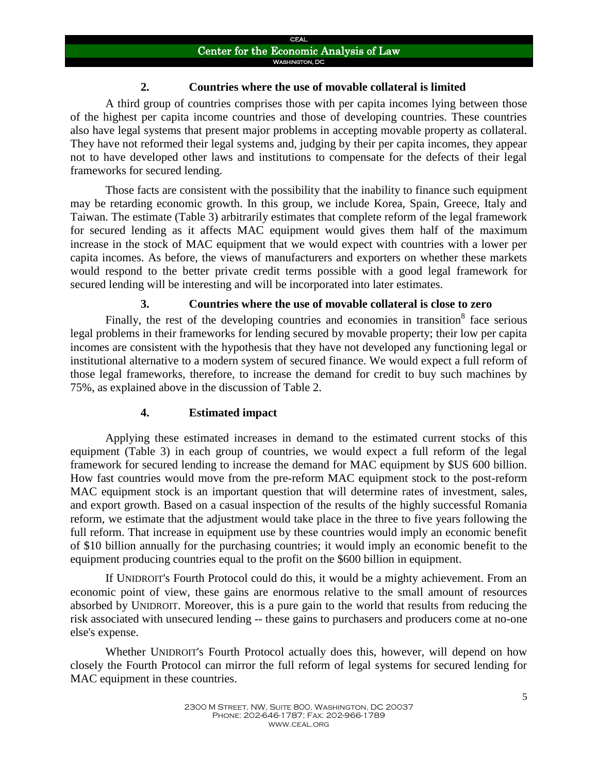### **2. Countries where the use of movable collateral is limited**

A third group of countries comprises those with per capita incomes lying between those of the highest per capita income countries and those of developing countries. These countries also have legal systems that present major problems in accepting movable property as collateral. They have not reformed their legal systems and, judging by their per capita incomes, they appear not to have developed other laws and institutions to compensate for the defects of their legal frameworks for secured lending.

Those facts are consistent with the possibility that the inability to finance such equipment may be retarding economic growth. In this group, we include Korea, Spain, Greece, Italy and Taiwan. The estimate (Table 3) arbitrarily estimates that complete reform of the legal framework for secured lending as it affects MAC equipment would gives them half of the maximum increase in the stock of MAC equipment that we would expect with countries with a lower per capita incomes. As before, the views of manufacturers and exporters on whether these markets would respond to the better private credit terms possible with a good legal framework for secured lending will be interesting and will be incorporated into later estimates.

### **3. Countries where the use of movable collateral is close to zero**

Finally, the rest of the developing countries and economies in transition $8$  face serious legal problems in their frameworks for lending secured by movable property; their low per capita incomes are consistent with the hypothesis that they have not developed any functioning legal or institutional alternative to a modern system of secured finance. We would expect a full reform of those legal frameworks, therefore, to increase the demand for credit to buy such machines by 75%, as explained above in the discussion of Table 2.

### **4. Estimated impact**

Applying these estimated increases in demand to the estimated current stocks of this equipment (Table 3) in each group of countries, we would expect a full reform of the legal framework for secured lending to increase the demand for MAC equipment by \$US 600 billion. How fast countries would move from the pre-reform MAC equipment stock to the post-reform MAC equipment stock is an important question that will determine rates of investment, sales, and export growth. Based on a casual inspection of the results of the highly successful Romania reform, we estimate that the adjustment would take place in the three to five years following the full reform. That increase in equipment use by these countries would imply an economic benefit of \$10 billion annually for the purchasing countries; it would imply an economic benefit to the equipment producing countries equal to the profit on the \$600 billion in equipment.

If UNIDROIT's Fourth Protocol could do this, it would be a mighty achievement. From an economic point of view, these gains are enormous relative to the small amount of resources absorbed by UNIDROIT. Moreover, this is a pure gain to the world that results from reducing the risk associated with unsecured lending -- these gains to purchasers and producers come at no-one else's expense.

Whether UNIDROIT's Fourth Protocol actually does this, however, will depend on how closely the Fourth Protocol can mirror the full reform of legal systems for secured lending for MAC equipment in these countries.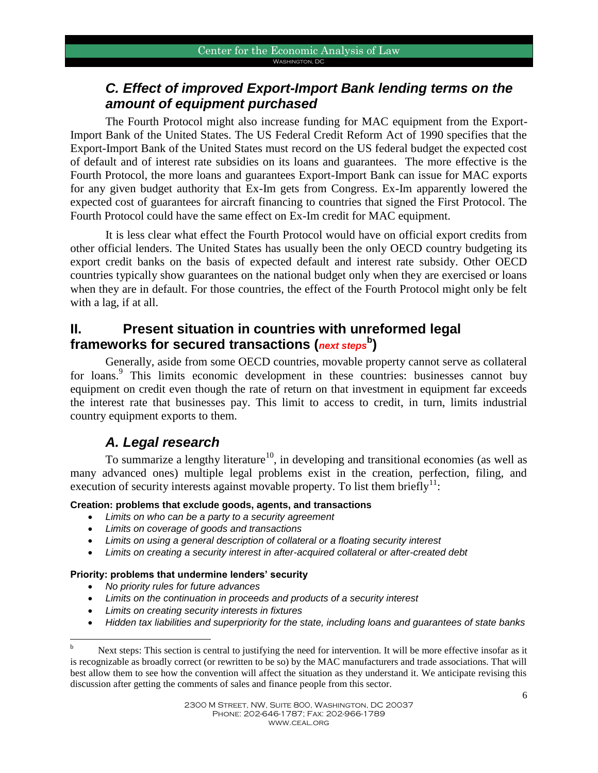## *C. Effect of improved Export-Import Bank lending terms on the amount of equipment purchased*

The Fourth Protocol might also increase funding for MAC equipment from the Export-Import Bank of the United States. The US Federal Credit Reform Act of 1990 specifies that the Export-Import Bank of the United States must record on the US federal budget the expected cost of default and of interest rate subsidies on its loans and guarantees. The more effective is the Fourth Protocol, the more loans and guarantees Export-Import Bank can issue for MAC exports for any given budget authority that Ex-Im gets from Congress. Ex-Im apparently lowered the expected cost of guarantees for aircraft financing to countries that signed the First Protocol. The Fourth Protocol could have the same effect on Ex-Im credit for MAC equipment.

It is less clear what effect the Fourth Protocol would have on official export credits from other official lenders. The United States has usually been the only OECD country budgeting its export credit banks on the basis of expected default and interest rate subsidy. Other OECD countries typically show guarantees on the national budget only when they are exercised or loans when they are in default. For those countries, the effect of the Fourth Protocol might only be felt with a lag, if at all.

## **II. Present situation in countries with unreformed legal frameworks for secured transactions (***next steps***<sup>b</sup> )**

Generally, aside from some OECD countries, movable property cannot serve as collateral for loans.<sup>9</sup> This limits economic development in these countries: businesses cannot buy equipment on credit even though the rate of return on that investment in equipment far exceeds the interest rate that businesses pay. This limit to access to credit, in turn, limits industrial country equipment exports to them.

## *A. Legal research*

To summarize a lengthy literature<sup>10</sup>, in developing and transitional economies (as well as many advanced ones) multiple legal problems exist in the creation, perfection, filing, and execution of security interests against movable property. To list them briefly<sup>11</sup>:

### **Creation: problems that exclude goods, agents, and transactions**

- *Limits on who can be a party to a security agreement*
- *Limits on coverage of goods and transactions*
- *Limits on using a general description of collateral or a floating security interest*
- *Limits on creating a security interest in after-acquired collateral or after-created debt*

### **Priority: problems that undermine lenders' security**

*No priority rules for future advances* 

 $\overline{a}$ 

- *Limits on the continuation in proceeds and products of a security interest*
- *Limits on creating security interests in fixtures*
- *Hidden tax liabilities and superpriority for the state, including loans and guarantees of state banks*

<sup>b</sup> Next steps: This section is central to justifying the need for intervention. It will be more effective insofar as it is recognizable as broadly correct (or rewritten to be so) by the MAC manufacturers and trade associations. That will best allow them to see how the convention will affect the situation as they understand it. We anticipate revising this discussion after getting the comments of sales and finance people from this sector.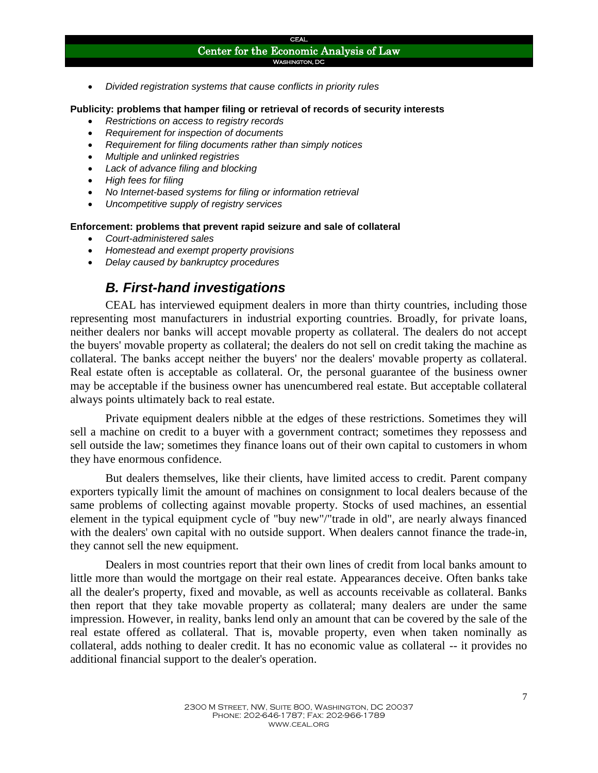### CEAL

#### Center for the Economic Analysis of Law WASHINGTON, DC

*Divided registration systems that cause conflicts in priority rules* 

### **Publicity: problems that hamper filing or retrieval of records of security interests**

- *Restrictions on access to registry records*
- *Requirement for inspection of documents*
- *Requirement for filing documents rather than simply notices*
- *Multiple and unlinked registries*
- *Lack of advance filing and blocking*
- *High fees for filing*
- *No Internet-based systems for filing or information retrieval*
- *Uncompetitive supply of registry services*

#### **Enforcement: problems that prevent rapid seizure and sale of collateral**

- *Court-administered sales*
- *Homestead and exempt property provisions*
- *Delay caused by bankruptcy procedures*

### *B. First-hand investigations*

CEAL has interviewed equipment dealers in more than thirty countries, including those representing most manufacturers in industrial exporting countries. Broadly, for private loans, neither dealers nor banks will accept movable property as collateral. The dealers do not accept the buyers' movable property as collateral; the dealers do not sell on credit taking the machine as collateral. The banks accept neither the buyers' nor the dealers' movable property as collateral. Real estate often is acceptable as collateral. Or, the personal guarantee of the business owner may be acceptable if the business owner has unencumbered real estate. But acceptable collateral always points ultimately back to real estate.

Private equipment dealers nibble at the edges of these restrictions. Sometimes they will sell a machine on credit to a buyer with a government contract; sometimes they repossess and sell outside the law; sometimes they finance loans out of their own capital to customers in whom they have enormous confidence.

But dealers themselves, like their clients, have limited access to credit. Parent company exporters typically limit the amount of machines on consignment to local dealers because of the same problems of collecting against movable property. Stocks of used machines, an essential element in the typical equipment cycle of "buy new"/"trade in old", are nearly always financed with the dealers' own capital with no outside support. When dealers cannot finance the trade-in, they cannot sell the new equipment.

Dealers in most countries report that their own lines of credit from local banks amount to little more than would the mortgage on their real estate. Appearances deceive. Often banks take all the dealer's property, fixed and movable, as well as accounts receivable as collateral. Banks then report that they take movable property as collateral; many dealers are under the same impression. However, in reality, banks lend only an amount that can be covered by the sale of the real estate offered as collateral. That is, movable property, even when taken nominally as collateral, adds nothing to dealer credit. It has no economic value as collateral -- it provides no additional financial support to the dealer's operation.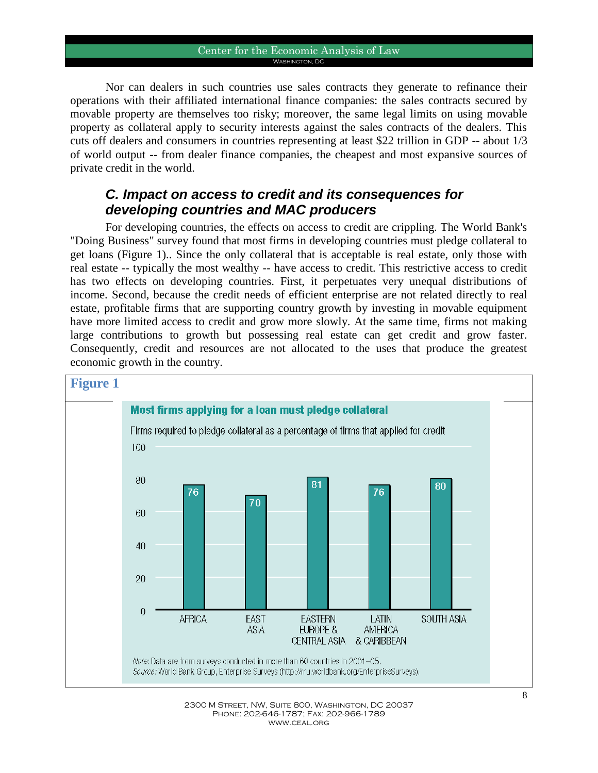Nor can dealers in such countries use sales contracts they generate to refinance their operations with their affiliated international finance companies: the sales contracts secured by movable property are themselves too risky; moreover, the same legal limits on using movable property as collateral apply to security interests against the sales contracts of the dealers. This cuts off dealers and consumers in countries representing at least \$22 trillion in GDP -- about 1/3 of world output -- from dealer finance companies, the cheapest and most expansive sources of private credit in the world.

## *C. Impact on access to credit and its consequences for developing countries and MAC producers*

For developing countries, the effects on access to credit are crippling. The World Bank's "Doing Business" survey found that most firms in developing countries must pledge collateral to get loans (Figure 1).. Since the only collateral that is acceptable is real estate, only those with real estate -- typically the most wealthy -- have access to credit. This restrictive access to credit has two effects on developing countries. First, it perpetuates very unequal distributions of income. Second, because the credit needs of efficient enterprise are not related directly to real estate, profitable firms that are supporting country growth by investing in movable equipment have more limited access to credit and grow more slowly. At the same time, firms not making large contributions to growth but possessing real estate can get credit and grow faster. Consequently, credit and resources are not allocated to the uses that produce the greatest economic growth in the country.



2300 M Street, NW, Suite 800, Washington, DC 20037 Phone: 202-646-1787; Fax: 202-966-1789 www.ceal.org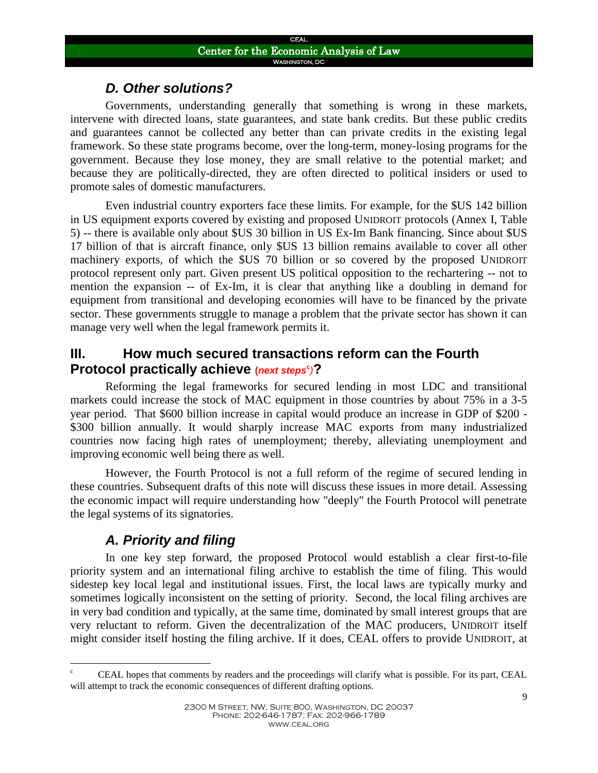## *D. Other solutions?*

Governments, understanding generally that something is wrong in these markets, intervene with directed loans, state guarantees, and state bank credits. But these public credits and guarantees cannot be collected any better than can private credits in the existing legal framework. So these state programs become, over the long-term, money-losing programs for the government. Because they lose money, they are small relative to the potential market; and because they are politically-directed, they are often directed to political insiders or used to promote sales of domestic manufacturers.

Even industrial country exporters face these limits. For example, for the \$US 142 billion in US equipment exports covered by existing and proposed UNIDROIT protocols (Annex I, Table 5) -- there is available only about \$US 30 billion in US Ex-Im Bank financing. Since about \$US 17 billion of that is aircraft finance, only \$US 13 billion remains available to cover all other machinery exports, of which the \$US 70 billion or so covered by the proposed UNIDROIT protocol represent only part. Given present US political opposition to the rechartering -- not to mention the expansion -- of Ex-Im, it is clear that anything like a doubling in demand for equipment from transitional and developing economies will have to be financed by the private sector. These governments struggle to manage a problem that the private sector has shown it can manage very well when the legal framework permits it.

## **III. How much secured transactions reform can the Fourth Protocol practically achieve (***next steps***<sup>c</sup>** *)***?**

Reforming the legal frameworks for secured lending in most LDC and transitional markets could increase the stock of MAC equipment in those countries by about 75% in a 3-5 year period. That \$600 billion increase in capital would produce an increase in GDP of \$200 - \$300 billion annually. It would sharply increase MAC exports from many industrialized countries now facing high rates of unemployment; thereby, alleviating unemployment and improving economic well being there as well.

However, the Fourth Protocol is not a full reform of the regime of secured lending in these countries. Subsequent drafts of this note will discuss these issues in more detail. Assessing the economic impact will require understanding how "deeply" the Fourth Protocol will penetrate the legal systems of its signatories.

### *A. Priority and filing*

 $\overline{a}$ 

In one key step forward, the proposed Protocol would establish a clear first-to-file priority system and an international filing archive to establish the time of filing. This would sidestep key local legal and institutional issues. First, the local laws are typically murky and sometimes logically inconsistent on the setting of priority. Second, the local filing archives are in very bad condition and typically, at the same time, dominated by small interest groups that are very reluctant to reform. Given the decentralization of the MAC producers, UNIDROIT itself might consider itself hosting the filing archive. If it does, CEAL offers to provide UNIDROIT, at

<sup>c</sup> CEAL hopes that comments by readers and the proceedings will clarify what is possible. For its part, CEAL will attempt to track the economic consequences of different drafting options.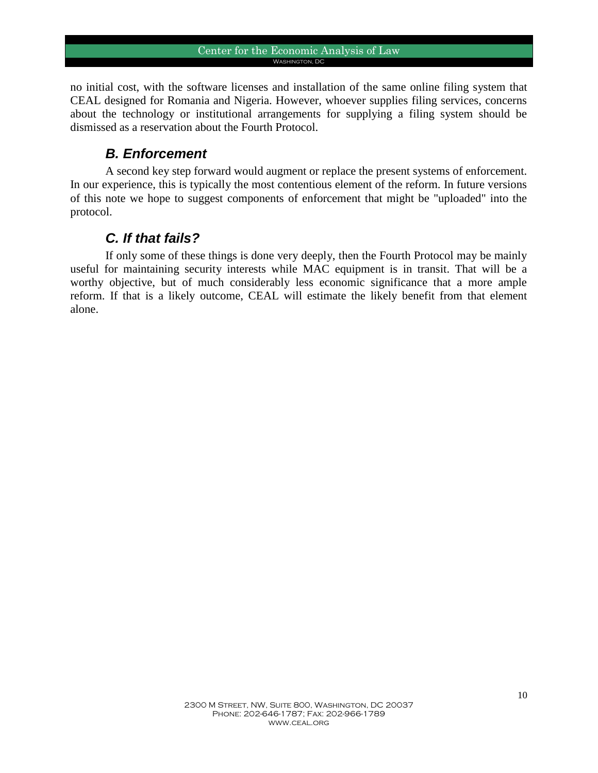no initial cost, with the software licenses and installation of the same online filing system that CEAL designed for Romania and Nigeria. However, whoever supplies filing services, concerns about the technology or institutional arrangements for supplying a filing system should be dismissed as a reservation about the Fourth Protocol.

## *B. Enforcement*

A second key step forward would augment or replace the present systems of enforcement. In our experience, this is typically the most contentious element of the reform. In future versions of this note we hope to suggest components of enforcement that might be "uploaded" into the protocol.

## *C. If that fails?*

If only some of these things is done very deeply, then the Fourth Protocol may be mainly useful for maintaining security interests while MAC equipment is in transit. That will be a worthy objective, but of much considerably less economic significance that a more ample reform. If that is a likely outcome, CEAL will estimate the likely benefit from that element alone.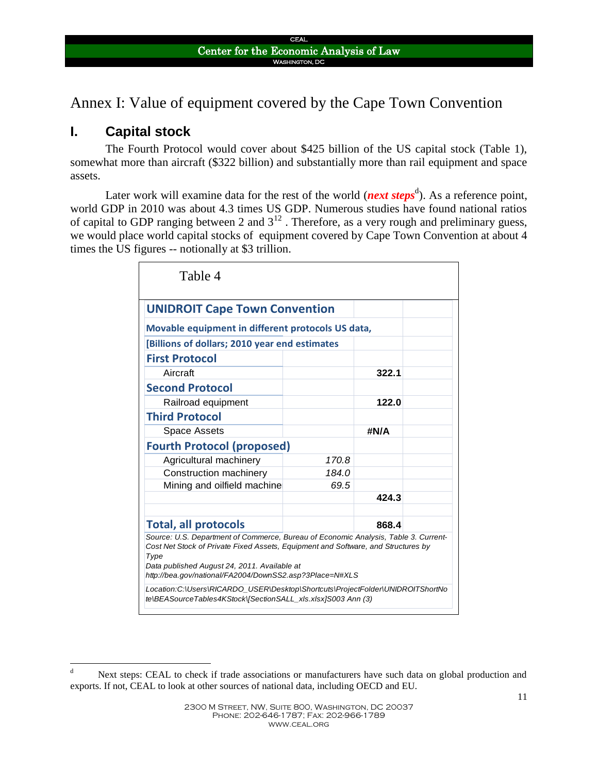Annex I: Value of equipment covered by the Cape Town Convention

### **I. Capital stock**

 $\overline{a}$ 

The Fourth Protocol would cover about \$425 billion of the US capital stock (Table 1), somewhat more than aircraft (\$322 billion) and substantially more than rail equipment and space assets.

Later work will examine data for the rest of the world (*next steps*<sup>d</sup>). As a reference point, world GDP in 2010 was about 4.3 times US GDP. Numerous studies have found national ratios of capital to GDP ranging between 2 and  $3^{12}$ . Therefore, as a very rough and preliminary guess, we would place world capital stocks of equipment covered by Cape Town Convention at about 4 times the US figures -- notionally at \$3 trillion.

| Table 4                                                                                                                                                                                                                                                                                     |       |       |  |
|---------------------------------------------------------------------------------------------------------------------------------------------------------------------------------------------------------------------------------------------------------------------------------------------|-------|-------|--|
| <b>UNIDROIT Cape Town Convention</b>                                                                                                                                                                                                                                                        |       |       |  |
| Movable equipment in different protocols US data,                                                                                                                                                                                                                                           |       |       |  |
| [Billions of dollars; 2010 year end estimates                                                                                                                                                                                                                                               |       |       |  |
| <b>First Protocol</b>                                                                                                                                                                                                                                                                       |       |       |  |
| Aircraft                                                                                                                                                                                                                                                                                    |       | 322.1 |  |
| <b>Second Protocol</b>                                                                                                                                                                                                                                                                      |       |       |  |
| Railroad equipment                                                                                                                                                                                                                                                                          |       | 122.0 |  |
| <b>Third Protocol</b>                                                                                                                                                                                                                                                                       |       |       |  |
| <b>Space Assets</b>                                                                                                                                                                                                                                                                         |       | #N/A  |  |
| <b>Fourth Protocol (proposed)</b>                                                                                                                                                                                                                                                           |       |       |  |
| Agricultural machinery                                                                                                                                                                                                                                                                      | 170.8 |       |  |
| Construction machinery                                                                                                                                                                                                                                                                      | 184.0 |       |  |
| Mining and oilfield machine                                                                                                                                                                                                                                                                 | 69.5  | 424.3 |  |
|                                                                                                                                                                                                                                                                                             |       |       |  |
| <b>Total, all protocols</b>                                                                                                                                                                                                                                                                 |       | 868.4 |  |
| Source: U.S. Department of Commerce, Bureau of Economic Analysis, Table 3. Current-<br>Cost Net Stock of Private Fixed Assets, Equipment and Software, and Structures by<br>Type<br>Data published August 24, 2011. Available at<br>http://bea.gov/national/FA2004/DownSS2.asp?3Place=N#XLS |       |       |  |
| Location:C:\Users\RICARDO_USER\Desktop\Shortcuts\ProjectFolder\UNIDROITShortNo<br>te\BEASourceTables4KStock\fSectionSALL_xls.xlsx]S003 Ann (3)                                                                                                                                              |       |       |  |

<sup>&</sup>lt;sup>d</sup> Next steps: CEAL to check if trade associations or manufacturers have such data on global production and exports. If not, CEAL to look at other sources of national data, including OECD and EU.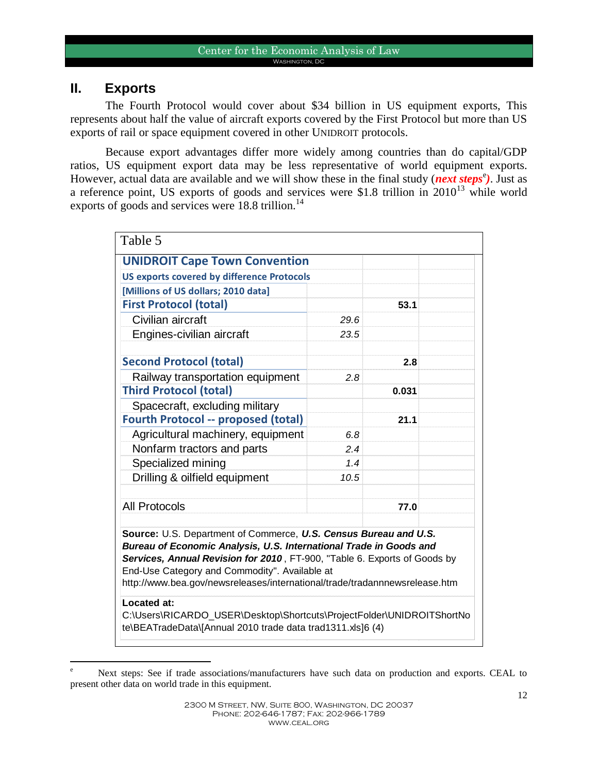## **II. Exports**

 $\overline{a}$ 

The Fourth Protocol would cover about \$34 billion in US equipment exports, This represents about half the value of aircraft exports covered by the First Protocol but more than US exports of rail or space equipment covered in other UNIDROIT protocols.

Because export advantages differ more widely among countries than do capital/GDP ratios, US equipment export data may be less representative of world equipment exports. However, actual data are available and we will show these in the final study (*next steps<sup>e</sup>*). Just as a reference point, US exports of goods and services were \$1.8 trillion in 2010<sup>13</sup> while world exports of goods and services were  $18.8 \text{ trillion.}^{14}$ 

| Table 5                                                                                                                                                                                                                                                                                                                                            |      |       |  |  |  |  |
|----------------------------------------------------------------------------------------------------------------------------------------------------------------------------------------------------------------------------------------------------------------------------------------------------------------------------------------------------|------|-------|--|--|--|--|
| <b>UNIDROIT Cape Town Convention</b>                                                                                                                                                                                                                                                                                                               |      |       |  |  |  |  |
| <b>US exports covered by difference Protocols</b>                                                                                                                                                                                                                                                                                                  |      |       |  |  |  |  |
| [Millions of US dollars; 2010 data]                                                                                                                                                                                                                                                                                                                |      |       |  |  |  |  |
| <b>First Protocol (total)</b>                                                                                                                                                                                                                                                                                                                      |      | 53.1  |  |  |  |  |
| Civilian aircraft                                                                                                                                                                                                                                                                                                                                  | 29.6 |       |  |  |  |  |
| Engines-civilian aircraft                                                                                                                                                                                                                                                                                                                          | 23.5 |       |  |  |  |  |
| <b>Second Protocol (total)</b>                                                                                                                                                                                                                                                                                                                     |      | 2.8   |  |  |  |  |
| Railway transportation equipment                                                                                                                                                                                                                                                                                                                   | 2.8  |       |  |  |  |  |
| <b>Third Protocol (total)</b>                                                                                                                                                                                                                                                                                                                      |      | 0.031 |  |  |  |  |
| Spacecraft, excluding military                                                                                                                                                                                                                                                                                                                     |      |       |  |  |  |  |
| <b>Fourth Protocol -- proposed (total)</b>                                                                                                                                                                                                                                                                                                         |      | 21.1  |  |  |  |  |
| Agricultural machinery, equipment                                                                                                                                                                                                                                                                                                                  | 6.8  |       |  |  |  |  |
| Nonfarm tractors and parts                                                                                                                                                                                                                                                                                                                         | 2.4  |       |  |  |  |  |
| Specialized mining                                                                                                                                                                                                                                                                                                                                 | 1.4  |       |  |  |  |  |
| Drilling & oilfield equipment                                                                                                                                                                                                                                                                                                                      | 10.5 |       |  |  |  |  |
| <b>All Protocols</b>                                                                                                                                                                                                                                                                                                                               |      | 77.0  |  |  |  |  |
| Source: U.S. Department of Commerce, U.S. Census Bureau and U.S.<br>Bureau of Economic Analysis, U.S. International Trade in Goods and<br>Services, Annual Revision for 2010, FT-900, "Table 6. Exports of Goods by<br>End-Use Category and Commodity". Available at<br>http://www.bea.gov/newsreleases/international/trade/tradannnewsrelease.htm |      |       |  |  |  |  |
| Located at:<br>C:\Users\RICARDO_USER\Desktop\Shortcuts\ProjectFolder\UNIDROITShortNo<br>te\BEATradeData\[Annual 2010 trade data trad1311.xls]6 (4)                                                                                                                                                                                                 |      |       |  |  |  |  |

Next steps: See if trade associations/manufacturers have such data on production and exports. CEAL to present other data on world trade in this equipment.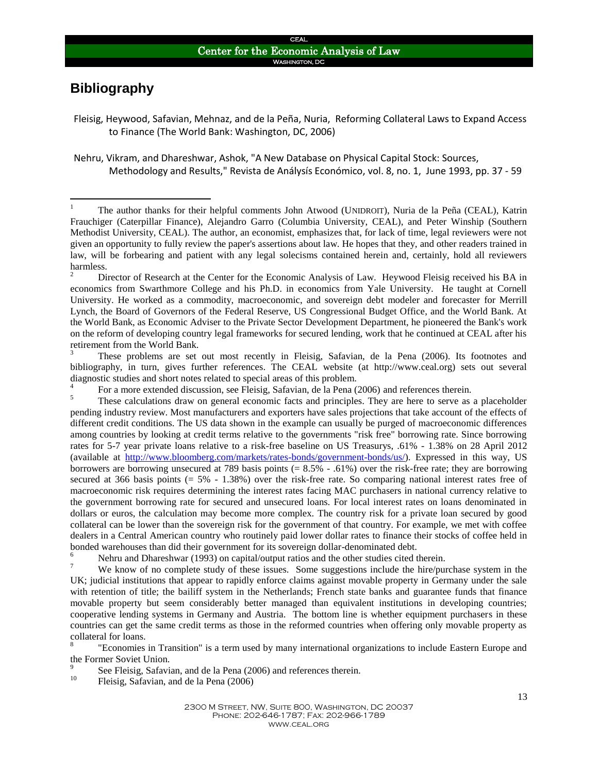## **Bibliography**

 $\overline{a}$ 

Fleisig, Heywood, Safavian, Mehnaz, and de la Peña, Nuria, Reforming Collateral Laws to Expand Access to Finance (The World Bank: Washington, DC, 2006)

Nehru, Vikram, and Dhareshwar, Ashok, "A New Database on Physical Capital Stock: Sources, Methodology and Results," Revista de Análysís Económico, vol. 8, no. 1, June 1993, pp. 37 - 59

<sup>2</sup> Director of Research at the Center for the Economic Analysis of Law. Heywood Fleisig received his BA in economics from Swarthmore College and his Ph.D. in economics from Yale University. He taught at Cornell University. He worked as a commodity, macroeconomic, and sovereign debt modeler and forecaster for Merrill Lynch, the Board of Governors of the Federal Reserve, US Congressional Budget Office, and the World Bank. At the World Bank, as Economic Adviser to the Private Sector Development Department, he pioneered the Bank's work on the reform of developing country legal frameworks for secured lending, work that he continued at CEAL after his retirement from the World Bank.

<sup>3</sup> These problems are set out most recently in Fleisig, Safavian, de la Pena (2006). Its footnotes and bibliography, in turn, gives further references. The CEAL website (at http://www.ceal.org) sets out several diagnostic studies and short notes related to special areas of this problem.

4 For a more extended discussion, see Fleisig, Safavian, de la Pena (2006) and references therein.

<sup>5</sup><br>These calculations draw on general economic facts and principles. They are here to serve as a placeholder pending industry review. Most manufacturers and exporters have sales projections that take account of the effects of different credit conditions. The US data shown in the example can usually be purged of macroeconomic differences among countries by looking at credit terms relative to the governments "risk free" borrowing rate. Since borrowing rates for 5-7 year private loans relative to a risk-free baseline on US Treasurys, .61% - 1.38% on 28 April 2012 (available at [http://www.bloomberg.com/markets/rates-bonds/government-bonds/us/\)](http://www.bloomberg.com/markets/rates-bonds/government-bonds/us/). Expressed in this way, US borrowers are borrowing unsecured at 789 basis points  $(= 8.5\% - .61\%)$  over the risk-free rate; they are borrowing secured at 366 basis points (= 5% - 1.38%) over the risk-free rate. So comparing national interest rates free of macroeconomic risk requires determining the interest rates facing MAC purchasers in national currency relative to the government borrowing rate for secured and unsecured loans. For local interest rates on loans denominated in dollars or euros, the calculation may become more complex. The country risk for a private loan secured by good collateral can be lower than the sovereign risk for the government of that country. For example, we met with coffee dealers in a Central American country who routinely paid lower dollar rates to finance their stocks of coffee held in bonded warehouses than did their government for its sovereign dollar-denominated debt.

Nehru and Dhareshwar (1993) on capital/output ratios and the other studies cited therein.

We know of no complete study of these issues. Some suggestions include the hire/purchase system in the UK; judicial institutions that appear to rapidly enforce claims against movable property in Germany under the sale with retention of title; the bailiff system in the Netherlands; French state banks and guarantee funds that finance movable property but seem considerably better managed than equivalent institutions in developing countries; cooperative lending systems in Germany and Austria. The bottom line is whether equipment purchasers in these countries can get the same credit terms as those in the reformed countries when offering only movable property as collateral for loans.

8 "Economies in Transition" is a term used by many international organizations to include Eastern Europe and the Former Soviet Union.

9 See Fleisig, Safavian, and de la Pena (2006) and references therein.

<sup>10</sup> Fleisig, Safavian, and de la Pena  $(2006)$ 

<sup>1</sup> The author thanks for their helpful comments John Atwood (UNIDROIT), Nuria de la Peña (CEAL), Katrin Frauchiger (Caterpillar Finance), Alejandro Garro (Columbia University, CEAL), and Peter Winship (Southern Methodist University, CEAL). The author, an economist, emphasizes that, for lack of time, legal reviewers were not given an opportunity to fully review the paper's assertions about law. He hopes that they, and other readers trained in law, will be forbearing and patient with any legal solecisms contained herein and, certainly, hold all reviewers harmless.